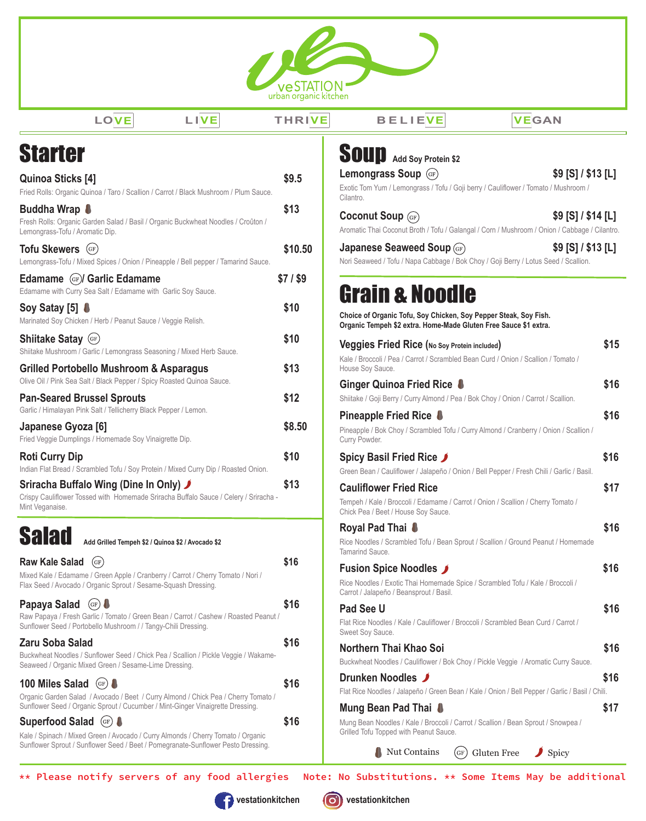

| ×<br>$\sim$ |
|-------------|
|-------------|

**LOVE L IVE THRIVE BELIEVE VEGAN**

| <b>Starter</b>                                                                                                                                                                      |           | <b>SOUP</b> Add Soy Protein \$2                                                                                 |
|-------------------------------------------------------------------------------------------------------------------------------------------------------------------------------------|-----------|-----------------------------------------------------------------------------------------------------------------|
| <b>Quinoa Sticks [4]</b>                                                                                                                                                            | \$9.5     | Lemongrass Soup (GF)                                                                                            |
| Fried Rolls: Organic Quinoa / Taro / Scallion / Carrot / Black Mushroom / Plum Sauce.                                                                                               |           | Exotic Tom Yum / Lemongrass / Tofu / Go<br>Cilantro.                                                            |
| Buddha Wrap <b>U</b><br>Fresh Rolls: Organic Garden Salad / Basil / Organic Buckwheat Noodles / Croûton /<br>Lemongrass-Tofu / Aromatic Dip.                                        | \$13      | <b>Coconut Soup (GF)</b><br>Aromatic Thai Coconut Broth / Tofu / Gal                                            |
| Tofu Skewers (GF)<br>Lemongrass-Tofu / Mixed Spices / Onion / Pineapple / Bell pepper / Tamarind Sauce.                                                                             | \$10.50   | Japanese Seaweed Soup (G<br>Nori Seaweed / Tofu / Napa Cabbage / B                                              |
| <b>Edamame (GF)/ Garlic Edamame</b><br>Edamame with Curry Sea Salt / Edamame with Garlic Soy Sauce.                                                                                 | $$7/$ \$9 | <b>Grain &amp; Nood</b>                                                                                         |
| Soy Satay [5] <b>↓</b><br>Marinated Soy Chicken / Herb / Peanut Sauce / Veggie Relish.                                                                                              | \$10      | Choice of Organic Tofu, Soy Chicken,<br>Organic Tempeh \$2 extra. Home-Made                                     |
| <b>Shiitake Satay (GF)</b><br>Shiitake Mushroom / Garlic / Lemongrass Seasoning / Mixed Herb Sauce.                                                                                 | \$10      | <b>Veggies Fried Rice (No Soy Pro</b><br>Kale / Broccoli / Pea / Carrot / Scrambled                             |
| <b>Grilled Portobello Mushroom &amp; Asparagus</b><br>Olive Oil / Pink Sea Salt / Black Pepper / Spicy Roasted Quinoa Sauce.                                                        | \$13      | House Soy Sauce.<br>Ginger Quinoa Fried Rice                                                                    |
| <b>Pan-Seared Brussel Sprouts</b><br>Garlic / Himalayan Pink Salt / Tellicherry Black Pepper / Lemon.                                                                               | \$12      | Shiitake / Goji Berry / Curry Almond / Pea<br>Pineapple Fried Rice <b>♦</b>                                     |
| Japanese Gyoza [6]<br>Fried Veggie Dumplings / Homemade Soy Vinaigrette Dip.                                                                                                        | \$8.50    | Pineapple / Bok Choy / Scrambled Tofu /<br>Curry Powder.                                                        |
| <b>Roti Curry Dip</b><br>Indian Flat Bread / Scrambled Tofu / Soy Protein / Mixed Curry Dip / Roasted Onion.                                                                        | \$10      | Spicy Basil Fried Rice ✔<br>Green Bean / Cauliflower / Jalapeño / Or                                            |
| Sriracha Buffalo Wing (Dine In Only) J<br>Crispy Cauliflower Tossed with Homemade Sriracha Buffalo Sauce / Celery / Sriracha -<br>Mint Veganaise.                                   | \$13      | <b>Cauliflower Fried Rice</b><br>Tempeh / Kale / Broccoli / Edamame / Ca<br>Chick Pea / Beet / House Soy Sauce. |
| <b>Salad</b><br>Add Grilled Tempeh \$2 / Quinoa \$2 / Avocado \$2                                                                                                                   |           | Royal Pad Thai <b>8</b><br>Rice Noodles / Scrambled Tofu / Bean S<br>Tamarind Sauce.                            |
| <b>Raw Kale Salad</b><br>(GF)<br>Mixed Kale / Edamame / Green Apple / Cranberry / Carrot / Cherry Tomato / Nori /<br>Flax Seed / Avocado / Organic Sprout / Sesame-Squash Dressing. | \$16      | <b>Fusion Spice Noodles</b><br>Rice Noodles / Exotic Thai Homemade S<br>Carrot / Jalapeño / Beansprout / Basil. |
| Papaya Salad<br>(GF)<br>Raw Papaya / Fresh Garlic / Tomato / Green Bean / Carrot / Cashew / Roasted Peanut /<br>Sunflower Seed / Portobello Mushroom / / Tangy-Chili Dressing.      | \$16      | Pad See U<br>Flat Rice Noodles / Kale / Cauliflower / B<br>Sweet Soy Sauce.                                     |
| <b>Zaru Soba Salad</b><br>Buckwheat Noodles / Sunflower Seed / Chick Pea / Scallion / Pickle Veggie / Wakame-<br>Seaweed / Organic Mixed Green / Sesame-Lime Dressing.              | \$16      | Northern Thai Khao Soi<br>Buckwheat Noodles / Cauliflower / Bok C                                               |
| 100 Miles Salad<br>(GF)<br>Organic Garden Salad / Avocado / Beet / Curry Almond / Chick Pea / Cherry Tomato /                                                                       | \$16      | Drunken Noodles J<br>Flat Rice Noodles / Jalapeño / Green Bea                                                   |
| Sunflower Seed / Organic Sprout / Cucumber / Mint-Ginger Vinaigrette Dressing.<br><b>Superfood Salad</b><br>$\left(\text{GF}\right)$                                                | \$16      | Mung Bean Pad Thai <b>S</b><br>Mung Bean Noodles / Kale / Broccoli / Ca                                         |
| Kale / Spinach / Mixed Green / Avocado / Curry Almonds / Cherry Tomato / Organic<br>Sunflower Sprout / Sunflower Seed / Beet / Pomegranate-Sunflower Pesto Dressing.                |           | Grilled Tofu Topped with Peanut Sauce.<br>Nut Contains<br>(c                                                    |

| <b>SOUD</b> Add Soy Protein \$2                                                                                                                        |      |
|--------------------------------------------------------------------------------------------------------------------------------------------------------|------|
| \$9 [S] / \$13 [L]<br><b>Lemongrass Soup</b> (GF)                                                                                                      |      |
| Exotic Tom Yum / Lemongrass / Tofu / Goji berry / Cauliflower / Tomato / Mushroom /<br>Cilantro.                                                       |      |
| \$9 [S] / \$14 [L]<br><b>Coconut Soup</b> (GF)<br>Aromatic Thai Coconut Broth / Tofu / Galangal / Corn / Mushroom / Onion / Cabbage / Cilantro.        |      |
| \$9 [S] / \$13 [L]<br>Japanese Seaweed Soup (GF)<br>Nori Seaweed / Tofu / Napa Cabbage / Bok Choy / Goji Berry / Lotus Seed / Scallion.                |      |
| <b>Grain &amp; Noodle</b><br>Choice of Organic Tofu, Soy Chicken, Soy Pepper Steak, Soy Fish.                                                          |      |
| Organic Tempeh \$2 extra. Home-Made Gluten Free Sauce \$1 extra.                                                                                       |      |
| Veggies Fried Rice (No Soy Protein included)<br>Kale / Broccoli / Pea / Carrot / Scrambled Bean Curd / Onion / Scallion / Tomato /<br>House Soy Sauce. | \$15 |
| Ginger Quinoa Fried Rice <b>&amp;</b>                                                                                                                  | \$16 |
| Shiitake / Goji Berry / Curry Almond / Pea / Bok Choy / Onion / Carrot / Scallion.                                                                     |      |
| Pineapple Fried Rice <b>■</b>                                                                                                                          | \$16 |
| Pineapple / Bok Choy / Scrambled Tofu / Curry Almond / Cranberry / Onion / Scallion /<br>Curry Powder.                                                 |      |
| Spicy Basil Fried Rice J                                                                                                                               | \$16 |
| Green Bean / Cauliflower / Jalapeño / Onion / Bell Pepper / Fresh Chili / Garlic / Basil.                                                              |      |
| <b>Cauliflower Fried Rice</b>                                                                                                                          | \$17 |
| Tempeh / Kale / Broccoli / Edamame / Carrot / Onion / Scallion / Cherry Tomato /<br>Chick Pea / Beet / House Soy Sauce.                                |      |
| Royal Pad Thai <b>&amp;</b>                                                                                                                            | \$16 |
| Rice Noodles / Scrambled Tofu / Bean Sprout / Scallion / Ground Peanut / Homemade<br>Tamarind Sauce.                                                   |      |
| <b>Fusion Spice Noodles</b>                                                                                                                            | \$16 |
| Rice Noodles / Exotic Thai Homemade Spice / Scrambled Tofu / Kale / Broccoli /<br>Carrot / Jalapeño / Beansprout / Basil.                              |      |
| Pad See U                                                                                                                                              | \$16 |
| Flat Rice Noodles / Kale / Cauliflower / Broccoli / Scrambled Bean Curd / Carrot /<br>Sweet Soy Sauce.                                                 |      |
| Northern Thai Khao Soi                                                                                                                                 | \$16 |
| Buckwheat Noodles / Cauliflower / Bok Choy / Pickle Veggie / Aromatic Curry Sauce.                                                                     |      |
| Drunken Noodles J                                                                                                                                      | \$16 |
| Flat Rice Noodles / Jalapeño / Green Bean / Kale / Onion / Bell Pepper / Garlic / Basil / Chili.                                                       |      |
| Mung Bean Pad Thai <b>↓</b>                                                                                                                            | \$17 |

Mung Bean Noodles / Kale / Broccoli / Carrot / Scallion / Bean Sprout / Snowpea / Grilled Tofu Topped with Peanut Sauce.

Nut Contains (GF) Gluten Free Spicy

Note: No Substitutions. \*\* Some Items May be additional

\*\* Please notify servers of any food allergies